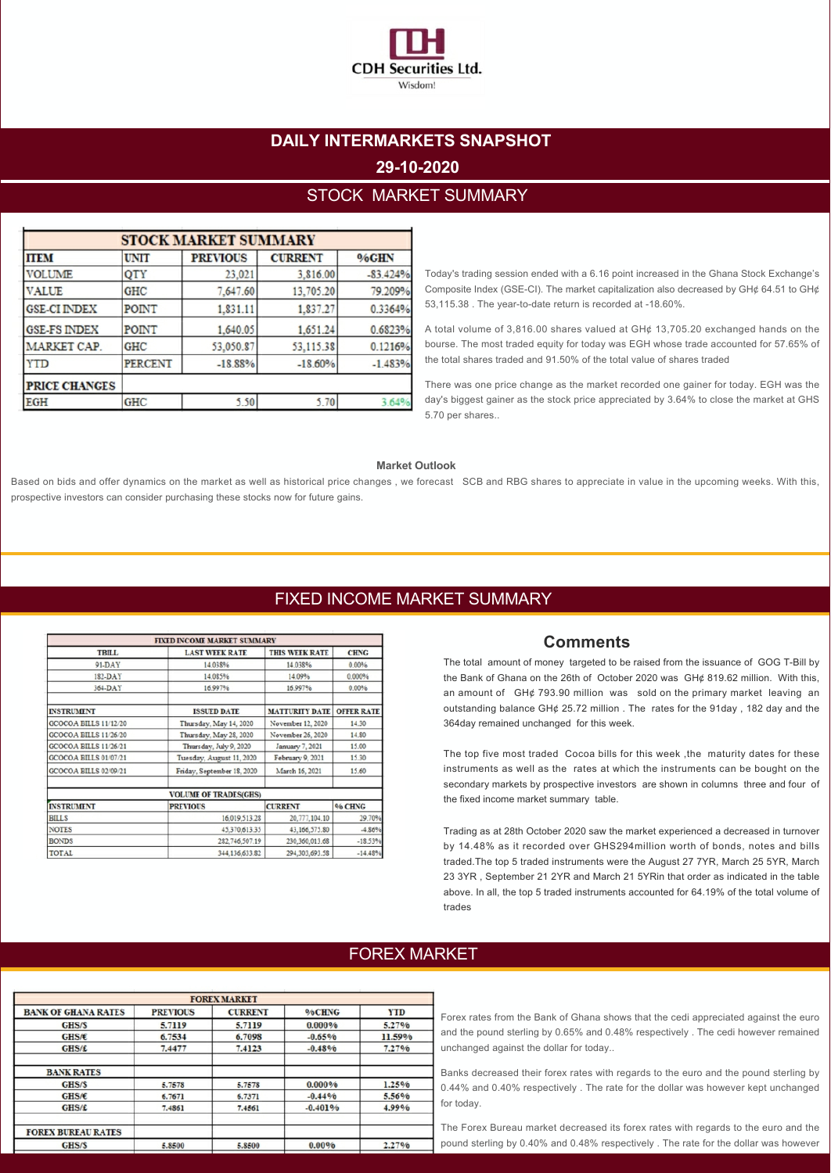

# **DAILY INTERMARKETS SNAPSHOT 29-10-2020**

## STOCK MARKET SUMMARY

| <b>STOCK MARKET SUMMARY</b> |                |                 |                |            |  |
|-----------------------------|----------------|-----------------|----------------|------------|--|
| <b>ITEM</b>                 | <b>UNIT</b>    | <b>PREVIOUS</b> | <b>CURRENT</b> | %GHN       |  |
| <b>VOLUME</b>               | QTY            | 23,021          | 3,816.00       | $-83.424%$ |  |
| <b>VALUE</b>                | <b>GHC</b>     | 7,647.60        | 13,705.20      | 79.209%    |  |
| <b>GSE-CI INDEX</b>         | POINT          | 1,831.11        | 1,837.27       | 0.3364%    |  |
| <b>GSE-FS INDEX</b>         | POINT          | 1,640.05        | 1,651.24       | 0.6823%    |  |
| MARKET CAP.                 | <b>GHC</b>     | 53,050.87       | 53,115.38      | 0.1216%    |  |
| YTD                         | <b>PERCENT</b> | $-18.88%$       | $-18.60%$      | $-1.483%$  |  |
| <b>PRICE CHANGES</b>        |                |                 |                |            |  |
| <b>EGH</b>                  | <b>GHC</b>     | 5.50            | 5.70           | 3.64%      |  |

Today's trading session ended with a 6.16 point increased in the Ghana Stock Exchange's Composite Index (GSE-CI). The market capitalization also decreased by GH¢ 64.51 to GH¢ 53,115.38 . The year-to-date return is recorded at -18.60%.

A total volume of 3,816.00 shares valued at GH¢ 13,705.20 exchanged hands on the bourse. The most traded equity for today was EGH whose trade accounted for 57.65% of the total shares traded and 91.50% of the total value of shares traded

There was one price change as the market recorded one gainer for today. EGH was the day's biggest gainer as the stock price appreciated by 3.64% to close the market at GHS 5.70 per shares..

#### **Market Outlook**

Based on bids and offer dynamics on the market as well as historical price changes , we forecast SCB and RBG shares to appreciate in value in the upcoming weeks. With this, prospective investors can consider purchasing these stocks now for future gains.

## FIXED INCOME MARKET SUMMARY

|                       | FIXED INCOME MARKET SUMMARY    |                                     |                   |  |
|-----------------------|--------------------------------|-------------------------------------|-------------------|--|
| <b>TBILL</b>          | <b>LAST WEEK RATE</b>          | <b>THIS WEEK RATE</b>               | <b>CHNG</b>       |  |
| 91-DAY                | 14.038%                        | 14.038%                             | 0.00%             |  |
| 182-DAY               | 14.085%                        | 14.09%                              | 0.000%            |  |
| 364-DAY               | 16.997%                        | 16.997%                             | 0.00%             |  |
| <b>INSTRUMENT</b>     | <b>ISSUED DATE</b>             | <b>MATTURITY DATE</b>               | <b>OFFER RATE</b> |  |
| GCOCOA BILLS 11/12/20 | Thursday, May 14, 2020         | November 12, 2020                   | 14.30             |  |
| GCOCOA BILLS 11/26/20 | Thursday, May 28, 2020         | November 26, 2020                   | 14.80             |  |
| GCOCOA BILLS 11/26/21 | Thursday, July 9, 2020         | January 7, 2021<br>February 9, 2021 | 15.00<br>15.30    |  |
| GCOCOA BILLS 01/07/21 | Tuesday, August 11, 2020       |                                     |                   |  |
| GCOCOA BILLS 02/09/21 | Friday, September 18, 2020     | March 16, 2021                      | 15.60             |  |
|                       | <b>VOLUME OF TRADES(GHS)</b>   |                                     |                   |  |
| <b>INSTRUMENT</b>     | <b>PREVIOUS</b>                | <b>CURRENT</b>                      | % CHNG            |  |
| <b>BILLS</b>          | 16,019,513.28                  | 20,777,104.10                       | 29.70%            |  |
| <b>NOTES</b>          | 45,370,613.35<br>43,166,575.80 |                                     | $-4.86%$          |  |
| <b>BONDS</b>          | 282,746,507.19                 | 230,360,013.68                      | $-18.53%$         |  |
| <b>TOTAL</b>          | 344,136,633.82                 | 294,303,693.58                      | $-14.48%$         |  |

#### **Comments**

The total amount of money targeted to be raised from the issuance of GOG T-Bill by the Bank of Ghana on the 26th of October 2020 was GH¢ 819.62 million. With this, an amount of GH¢ 793.90 million was sold on the primary market leaving an outstanding balance GH¢ 25.72 million . The rates for the 91day , 182 day and the 364day remained unchanged for this week.

The top five most traded Cocoa bills for this week ,the maturity dates for these instruments as well as the rates at which the instruments can be bought on the secondary markets by prospective investors are shown in columns three and four of the fixed income market summary table.

Trading as at 28th October 2020 saw the market experienced a decreased in turnover by 14.48% as it recorded over GHS294million worth of bonds, notes and bills traded.The top 5 traded instruments were the August 27 7YR, March 25 5YR, March 23 3YR , September 21 2YR and March 21 5YRin that order as indicated in the table

above. In all, the top 5 traded instruments accounted for 64.19% of the total volume of trades

### FOREX MARKET

| <b>FOREX MARKET</b>        |                 |                |           |            |
|----------------------------|-----------------|----------------|-----------|------------|
| <b>BANK OF GHANA RATES</b> | <b>PREVIOUS</b> | <b>CURRENT</b> | %CHNG     | <b>YTD</b> |
| GHS/S                      | 5.7119          | 5.7119         | 0.000%    | 5.27%      |
| GHS/E                      | 6.7534          | 6.7098         | $-0.65%$  | 11.59%     |
| GHS/f                      | 7.4477          | 7.4123         | $-0.48%$  | 7.27%      |
| <b>BANK RATES</b>          |                 |                |           |            |
| GHS/S                      | 5.7578          | 5.7578         | 0.000%    | 1.25%      |
| GHS/E                      | 6.7671          | 6.7371         | $-0.44%$  | 5.56%      |
| GHS/f                      | 7.4861          | 7.4561         | $-0.401%$ | 4.99%      |
| <b>FOREX BUREAU RATES</b>  |                 |                |           |            |
| GHS/S                      | 5.8500          | 5.8500         | $0.00\%$  | 2.27%      |
|                            |                 |                |           |            |

Forex rates from the Bank of Ghana shows that the cedi appreciated against the euro and the pound sterling by 0.65% and 0.48% respectively . The cedi however remained unchanged against the dollar for today..

Banks decreased their forex rates with regards to the euro and the pound sterling by 0.44% and 0.40% respectively . The rate for the dollar was however kept unchanged for today.

The Forex Bureau market decreased its forex rates with regards to the euro and the pound sterling by 0.40% and 0.48% respectively . The rate for the dollar was however